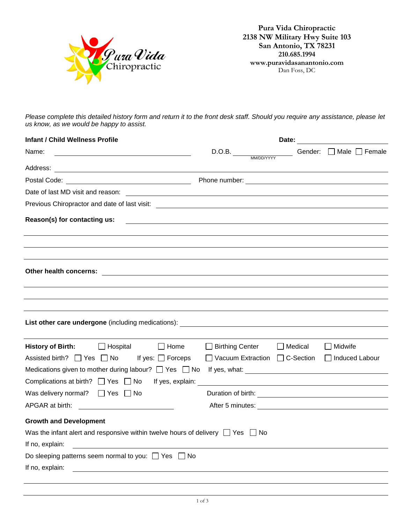

**Pura Vida Chiropractic 2138 NW Military Hwy Suite 103 San Antonio, TX 78231 210.685.1994 www.puravidasanantonio.com** Dan Foss, DC

*Please complete this detailed history form and return it to the front desk staff. Should you require any assistance, please let us know, as we would be happy to assist.*

| <b>Infant / Child Wellness Profile</b>                                                                                                        | Date:                                              |                |                                   |
|-----------------------------------------------------------------------------------------------------------------------------------------------|----------------------------------------------------|----------------|-----------------------------------|
| Name:                                                                                                                                         | D.O.B.                                             |                | Gender: $\Box$ Male $\Box$ Female |
|                                                                                                                                               |                                                    |                |                                   |
|                                                                                                                                               |                                                    |                |                                   |
| Date of last MD visit and reason:<br><u> 1989 - Johann Stein, mars an de Francisco Barbara (</u>                                              |                                                    |                |                                   |
|                                                                                                                                               |                                                    |                |                                   |
| Reason(s) for contacting us:                                                                                                                  |                                                    |                |                                   |
|                                                                                                                                               |                                                    |                |                                   |
|                                                                                                                                               |                                                    |                |                                   |
|                                                                                                                                               |                                                    |                |                                   |
| Other health concerns:<br><u> 1980 - Jan Samuel Barbara, margaret e populari e populari e populari e populari e populari e populari e pop</u> |                                                    |                |                                   |
|                                                                                                                                               |                                                    |                |                                   |
|                                                                                                                                               |                                                    |                |                                   |
|                                                                                                                                               |                                                    |                |                                   |
|                                                                                                                                               |                                                    |                |                                   |
|                                                                                                                                               |                                                    |                |                                   |
| History of Birth: Bish Hospital<br>$\Box$ Home                                                                                                | □ Birthing Center                                  | $\Box$ Medical | Midwife                           |
| Assisted birth? $\Box$ Yes $\Box$ No If yes: $\Box$ Forceps                                                                                   | □ Vacuum Extraction □ C-Section □ Induced Labour   |                |                                   |
|                                                                                                                                               |                                                    |                |                                   |
| Complications at birth? $\Box$ Yes $\Box$ No If yes, explain:                                                                                 | <u> 1980 - John Stein, Amerikaansk politiker (</u> |                |                                   |
| Was delivery normal? $\Box$ Yes $\Box$ No                                                                                                     |                                                    |                |                                   |
|                                                                                                                                               |                                                    |                |                                   |
| <b>Growth and Development</b>                                                                                                                 |                                                    |                |                                   |
| Was the infant alert and responsive within twelve hours of delivery $\Box$ Yes $\Box$ No                                                      |                                                    |                |                                   |
| If no, explain:<br><u> 1989 - Johann Stein, fransk politik (d. 1989)</u>                                                                      |                                                    |                |                                   |
| Do sleeping patterns seem normal to you: $\Box$ Yes $\Box$ No                                                                                 |                                                    |                |                                   |
| If no, explain:                                                                                                                               |                                                    |                |                                   |
|                                                                                                                                               |                                                    |                |                                   |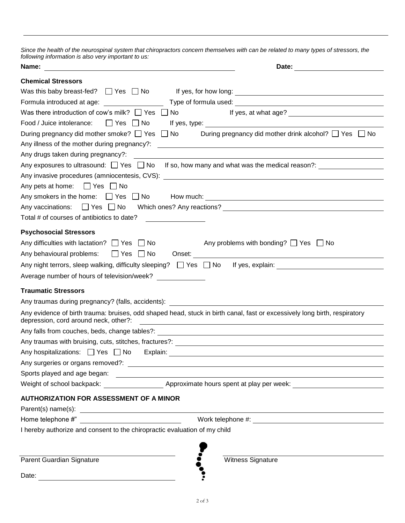*Since the health of the neurospinal system that chiropractors concern themselves with can be related to many types of stressors, the following information is also very important to us:*

| ronowing imorritation to dioo vory important to do.<br>Name:                                                                                                                                                                                                                                |                                                                 |
|---------------------------------------------------------------------------------------------------------------------------------------------------------------------------------------------------------------------------------------------------------------------------------------------|-----------------------------------------------------------------|
| <b>Chemical Stressors</b>                                                                                                                                                                                                                                                                   |                                                                 |
| Was this baby breast-fed? $\Box$ Yes $\Box$ No                                                                                                                                                                                                                                              |                                                                 |
| Formula introduced at age:                                                                                                                                                                                                                                                                  |                                                                 |
| Was there introduction of cow's milk? $\Box$ Yes<br>No                                                                                                                                                                                                                                      |                                                                 |
| Food / Juice intolerance:<br>  Yes  No                                                                                                                                                                                                                                                      |                                                                 |
| During pregnancy did mother smoke? □ Yes<br>$\Box$ No<br>Any illness of the mother during pregnancy?:                                                                                                                                                                                       | During pregnancy did mother drink alcohol? $\Box$ Yes $\Box$ No |
| Any drugs taken during pregnancy?:                                                                                                                                                                                                                                                          |                                                                 |
| Any exposures to ultrasound: $\Box$ Yes $\Box$ No                                                                                                                                                                                                                                           | If so, how many and what was the medical reason?:               |
|                                                                                                                                                                                                                                                                                             |                                                                 |
| Any pets at home: $\Box$ Yes $\Box$ No                                                                                                                                                                                                                                                      |                                                                 |
|                                                                                                                                                                                                                                                                                             |                                                                 |
|                                                                                                                                                                                                                                                                                             |                                                                 |
| Total # of courses of antibiotics to date?                                                                                                                                                                                                                                                  |                                                                 |
| <b>Psychosocial Stressors</b>                                                                                                                                                                                                                                                               |                                                                 |
| Any difficulties with lactation? $\Box$ Yes $\Box$ No                                                                                                                                                                                                                                       | Any problems with bonding? $\Box$ Yes $\Box$ No                 |
| Any behavioural problems: $\Box$ Yes $\Box$ No                                                                                                                                                                                                                                              | Onset:                                                          |
| Any night terrors, sleep walking, difficulty sleeping? $\Box$ Yes $\Box$ No                                                                                                                                                                                                                 |                                                                 |
| Average number of hours of television/week?                                                                                                                                                                                                                                                 |                                                                 |
| <b>Traumatic Stressors</b>                                                                                                                                                                                                                                                                  |                                                                 |
|                                                                                                                                                                                                                                                                                             |                                                                 |
| Any evidence of birth trauma: bruises, odd shaped head, stuck in birth canal, fast or excessively long birth, respiratory<br>depression, cord around neck, other?:<br><u> 1989 - Johann Stoff, deutscher Stoff, der Stoff, der Stoff, der Stoff, der Stoff, der Stoff, der Stoff, der S</u> |                                                                 |
|                                                                                                                                                                                                                                                                                             |                                                                 |
|                                                                                                                                                                                                                                                                                             |                                                                 |
| Any hospitalizations: Yes No Explain:                                                                                                                                                                                                                                                       |                                                                 |
| Any surgeries or organs removed?:<br><u> Any surgeries</u> or organs removed?:                                                                                                                                                                                                              |                                                                 |
|                                                                                                                                                                                                                                                                                             |                                                                 |
|                                                                                                                                                                                                                                                                                             |                                                                 |
| <b>AUTHORIZATION FOR ASSESSMENT OF A MINOR</b>                                                                                                                                                                                                                                              |                                                                 |
|                                                                                                                                                                                                                                                                                             |                                                                 |
|                                                                                                                                                                                                                                                                                             |                                                                 |
| I hereby authorize and consent to the chiropractic evaluation of my child                                                                                                                                                                                                                   |                                                                 |
|                                                                                                                                                                                                                                                                                             |                                                                 |
| Parent Guardian Signature<br><b>Witness Signature</b>                                                                                                                                                                                                                                       |                                                                 |
| Date:                                                                                                                                                                                                                                                                                       |                                                                 |